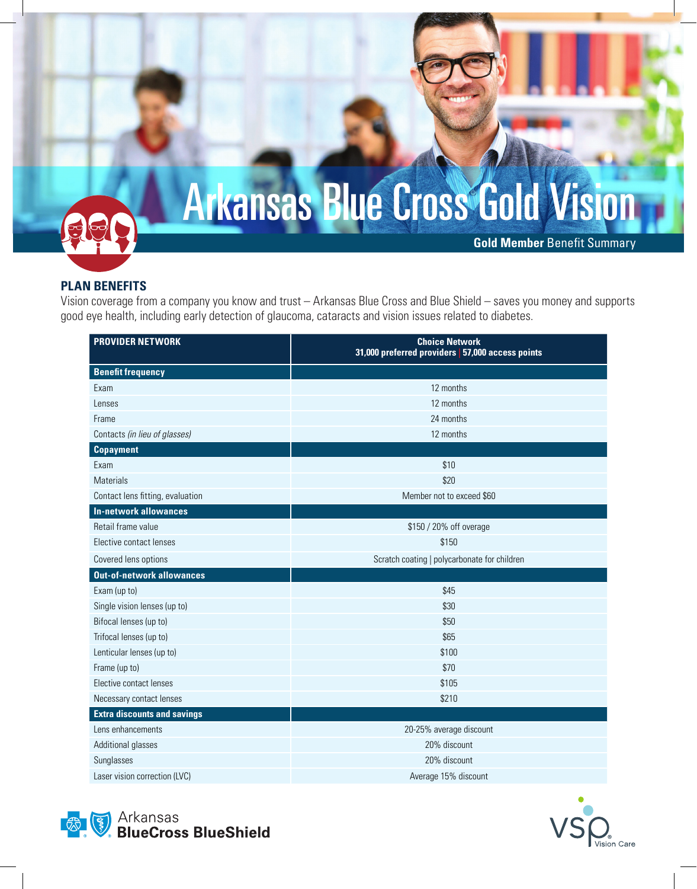

## **PLAN BENEFITS**

Vision coverage from a company you know and trust – Arkansas Blue Cross and Blue Shield – saves you money and supports good eye health, including early detection of glaucoma, cataracts and vision issues related to diabetes.

| <b>PROVIDER NETWORK</b>            | <b>Choice Network</b><br>31,000 preferred providers 57,000 access points |
|------------------------------------|--------------------------------------------------------------------------|
| <b>Benefit frequency</b>           |                                                                          |
| Exam                               | 12 months                                                                |
| Lenses                             | 12 months                                                                |
| Frame                              | 24 months                                                                |
| Contacts (in lieu of glasses)      | 12 months                                                                |
| <b>Copayment</b>                   |                                                                          |
| Exam                               | \$10                                                                     |
| <b>Materials</b>                   | \$20                                                                     |
| Contact lens fitting, evaluation   | Member not to exceed \$60                                                |
| <b>In-network allowances</b>       |                                                                          |
| Retail frame value                 | \$150 / 20% off overage                                                  |
| Elective contact lenses            | \$150                                                                    |
| Covered lens options               | Scratch coating   polycarbonate for children                             |
| <b>Out-of-network allowances</b>   |                                                                          |
| Exam (up to)                       | \$45                                                                     |
| Single vision lenses (up to)       | \$30                                                                     |
| Bifocal lenses (up to)             | \$50                                                                     |
| Trifocal lenses (up to)            | \$65                                                                     |
| Lenticular lenses (up to)          | \$100                                                                    |
| Frame (up to)                      | \$70                                                                     |
| Elective contact lenses            | \$105                                                                    |
| Necessary contact lenses           | \$210                                                                    |
| <b>Extra discounts and savings</b> |                                                                          |
| Lens enhancements                  | 20-25% average discount                                                  |
| Additional glasses                 | 20% discount                                                             |
| Sunglasses                         | 20% discount                                                             |
| Laser vision correction (LVC)      | Average 15% discount                                                     |